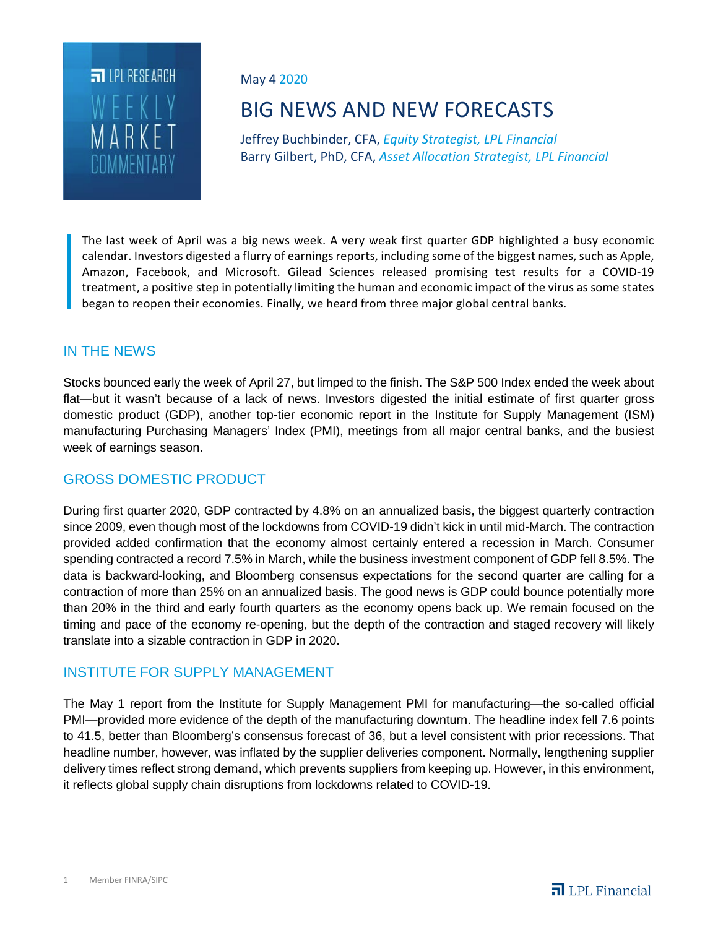

May 4 2020

# BIG NEWS AND NEW FORECASTS

Jeffrey Buchbinder, CFA, *Equity Strategist, LPL Financial* Barry Gilbert, PhD, CFA, *Asset Allocation Strategist, LPL Financial*

The last week of April was a big news week. A very weak first quarter GDP highlighted a busy economic calendar. Investors digested a flurry of earnings reports, including some of the biggest names, such as Apple, Amazon, Facebook, and Microsoft. Gilead Sciences released promising test results for a COVID-19 treatment, a positive step in potentially limiting the human and economic impact of the virus as some states began to reopen their economies. Finally, we heard from three major global central banks.

## IN THE NEWS

Stocks bounced early the week of April 27, but limped to the finish. The S&P 500 Index ended the week about flat—but it wasn't because of a lack of news. Investors digested the initial estimate of first quarter gross domestic product (GDP), another top-tier economic report in the Institute for Supply Management (ISM) manufacturing Purchasing Managers' Index (PMI), meetings from all major central banks, and the busiest week of earnings season.

## GROSS DOMESTIC PRODUCT

During first quarter 2020, GDP contracted by 4.8% on an annualized basis, the biggest quarterly contraction since 2009, even though most of the lockdowns from COVID-19 didn't kick in until mid-March. The contraction provided added confirmation that the economy almost certainly entered a recession in March. Consumer spending contracted a record 7.5% in March, while the business investment component of GDP fell 8.5%. The data is backward-looking, and Bloomberg consensus expectations for the second quarter are calling for a contraction of more than 25% on an annualized basis. The good news is GDP could bounce potentially more than 20% in the third and early fourth quarters as the economy opens back up. We remain focused on the timing and pace of the economy re-opening, but the depth of the contraction and staged recovery will likely translate into a sizable contraction in GDP in 2020.

## INSTITUTE FOR SUPPLY MANAGEMENT

The May 1 report from the Institute for Supply Management PMI for manufacturing—the so-called official PMI—provided more evidence of the depth of the manufacturing downturn. The headline index fell 7.6 points to 41.5, better than Bloomberg's consensus forecast of 36, but a level consistent with prior recessions. That headline number, however, was inflated by the supplier deliveries component. Normally, lengthening supplier delivery times reflect strong demand, which prevents suppliers from keeping up. However, in this environment, it reflects global supply chain disruptions from lockdowns related to COVID-19.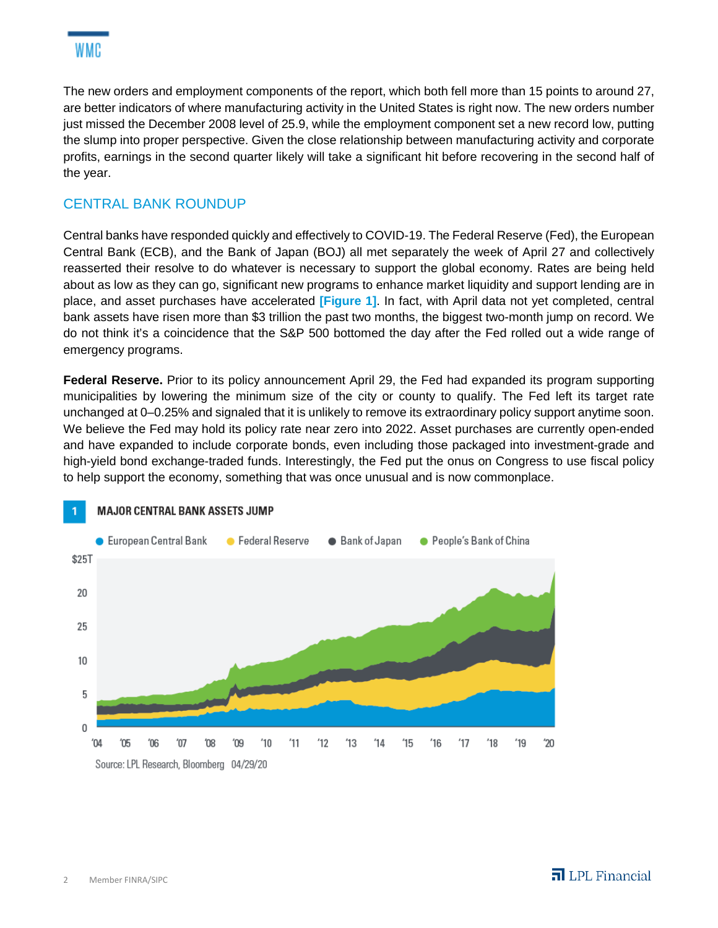

The new orders and employment components of the report, which both fell more than 15 points to around 27, are better indicators of where manufacturing activity in the United States is right now. The new orders number just missed the December 2008 level of 25.9, while the employment component set a new record low, putting the slump into proper perspective. Given the close relationship between manufacturing activity and corporate profits, earnings in the second quarter likely will take a significant hit before recovering in the second half of the year.

# CENTRAL BANK ROUNDUP

Central banks have responded quickly and effectively to COVID-19. The Federal Reserve (Fed), the European Central Bank (ECB), and the Bank of Japan (BOJ) all met separately the week of April 27 and collectively reasserted their resolve to do whatever is necessary to support the global economy. Rates are being held about as low as they can go, significant new programs to enhance market liquidity and support lending are in place, and asset purchases have accelerated **[Figure 1]**. In fact, with April data not yet completed, central bank assets have risen more than \$3 trillion the past two months, the biggest two-month jump on record. We do not think it's a coincidence that the S&P 500 bottomed the day after the Fed rolled out a wide range of emergency programs.

**Federal Reserve.** Prior to its policy announcement April 29, the Fed had expanded its program supporting municipalities by lowering the minimum size of the city or county to qualify. The Fed left its target rate unchanged at 0–0.25% and signaled that it is unlikely to remove its extraordinary policy support anytime soon. We believe the Fed may hold its policy rate near zero into 2022. Asset purchases are currently open-ended and have expanded to include corporate bonds, even including those packaged into investment-grade and high-yield bond exchange-traded funds. Interestingly, the Fed put the onus on Congress to use fiscal policy to help support the economy, something that was once unusual and is now commonplace.

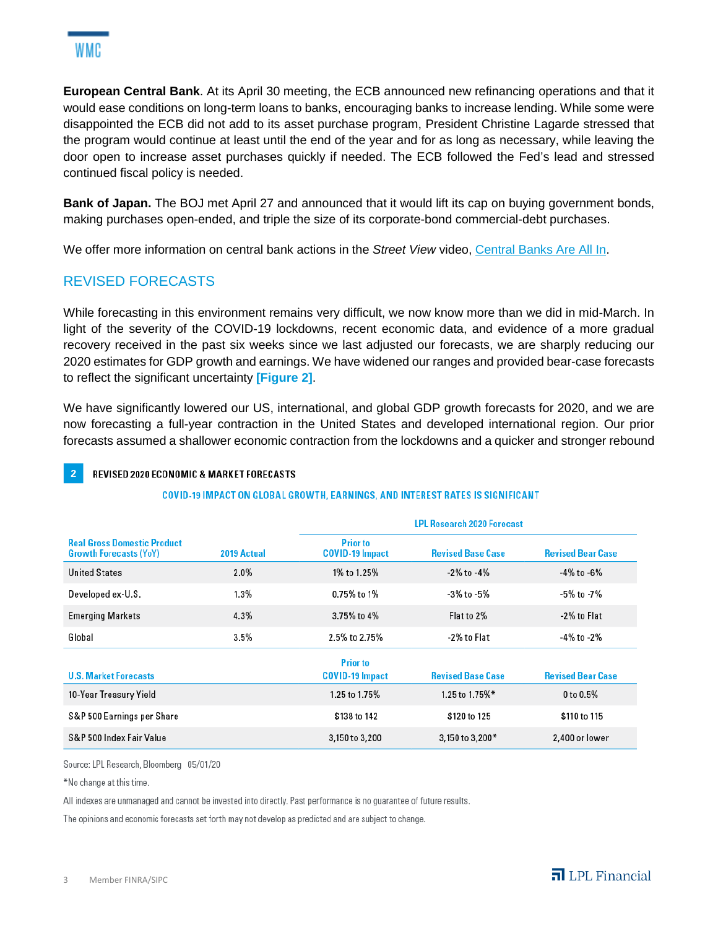**European Central Bank**. At its April 30 meeting, the ECB announced new refinancing operations and that it would ease conditions on long-term loans to banks, encouraging banks to increase lending. While some were disappointed the ECB did not add to its asset purchase program, President Christine Lagarde stressed that the program would continue at least until the end of the year and for as long as necessary, while leaving the door open to increase asset purchases quickly if needed. The ECB followed the Fed's lead and stressed continued fiscal policy is needed.

**Bank of Japan.** The BOJ met April 27 and announced that it would lift its cap on buying government bonds, making purchases open-ended, and triple the size of its corporate-bond commercial-debt purchases.

We offer more information on central bank actions in the *Street View* video, Central Banks Are All In.

# REVISED FORECASTS

While forecasting in this environment remains very difficult, we now know more than we did in mid-March. In light of the severity of the COVID-19 lockdowns, recent economic data, and evidence of a more gradual recovery received in the past six weeks since we last adjusted our forecasts, we are sharply reducing our 2020 estimates for GDP growth and earnings. We have widened our ranges and provided bear-case forecasts to reflect the significant uncertainty **[Figure 2]**.

We have significantly lowered our US, international, and global GDP growth forecasts for 2020, and we are now forecasting a full-year contraction in the United States and developed international region. Our prior forecasts assumed a shallower economic contraction from the lockdowns and a quicker and stronger rebound

### REVISED 2020 ECONOMIC & MARKET FORECASTS

#### **COVID-19 IMPACT ON GLOBAL GROWTH, EARNINGS, AND INTEREST RATES IS SIGNIFICANT**

| <b>Real Gross Domestic Product</b><br><b>Growth Forecasts (YoY)</b> | 2019 Actual | <b>LPL Research 2020 Forecast</b>         |                          |                          |
|---------------------------------------------------------------------|-------------|-------------------------------------------|--------------------------|--------------------------|
|                                                                     |             | <b>Prior to</b><br><b>COVID-19 Impact</b> | <b>Revised Base Case</b> | <b>Revised Bear Case</b> |
| <b>United States</b>                                                | 2.0%        | 1% to 1.25%                               | $-2\%$ to $-4\%$         | $-4\%$ to $-6\%$         |
| Developed ex-U.S.                                                   | 1.3%        | 0.75% to 1%                               | -3% to -5%               | -5% to -7%               |
| <b>Emerging Markets</b>                                             | 4.3%        | 3.75% to 4%                               | Flat to 2%               | -2% to Flat              |
| Global                                                              | 3.5%        | 2.5% to 2.75%                             | -2% to Flat              | -4% to -2%               |
| <b>U.S. Market Forecasts</b>                                        |             | <b>Prior to</b><br><b>COVID-19 Impact</b> | <b>Revised Base Case</b> | <b>Revised Bear Case</b> |
| 10-Year Treasury Yield                                              |             | 1.25 to 1.75%                             | 1.25 to 1.75%*           | 0 to 0.5%                |
| S&P 500 Earnings per Share                                          |             | \$138 to 142                              | \$120 to 125             | \$110 to 115             |
| S&P 500 Index Fair Value                                            |             | 3,150 to 3,200                            | 3,150 to 3,200*          | 2,400 or lower           |

Source: LPL Research, Bloomberg 05/01/20

\*No change at this time.

All indexes are unmanaged and cannot be invested into directly. Past performance is no guarantee of future results.

The opinions and economic forecasts set forth may not develop as predicted and are subject to change.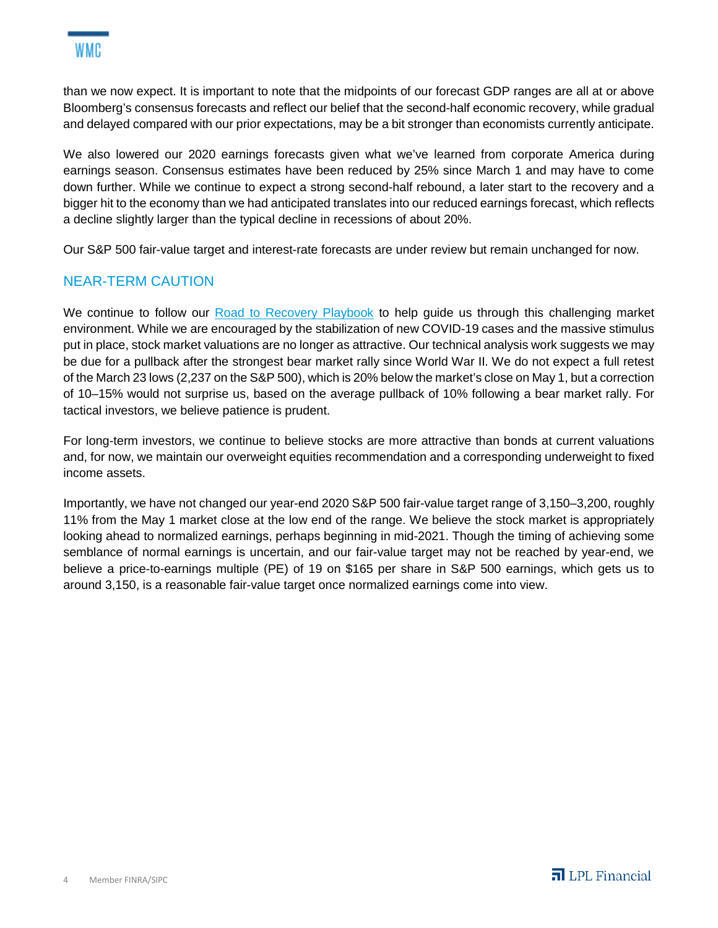than we now expect. It is important to note that the midpoints of our forecast GDP ranges are all at or above Bloomberg's consensus forecasts and reflect our belief that the second-half economic recovery, while gradual and delayed compared with our prior expectations, may be a bit stronger than economists currently anticipate.

We also lowered our 2020 earnings forecasts given what we've learned from corporate America during earnings season. Consensus estimates have been reduced by 25% since March 1 and may have to come down further. While we continue to expect a strong second-half rebound, a later start to the recovery and a bigger hit to the economy than we had anticipated translates into our reduced earnings forecast, which reflects a decline slightly larger than the typical decline in recessions of about 20%.

Our S&P 500 fair-value target and interest-rate forecasts are under review but remain unchanged for now.

# NEAR-TERM CAUTION

We continue to follow our Road to Recovery Playbook to help quide us through this challenging market environment. While we are encouraged by the stabilization of new COVID-19 cases and the massive stimulus put in place, stock market valuations are no longer as attractive. Our technical analysis work suggests we may be due for a pullback after the strongest bear market rally since World War II. We do not expect a full retest of the March 23 lows (2,237 on the S&P 500), which is 20% below the market's close on May 1, but a correction of 10–15% would not surprise us, based on the average pullback of 10% following a bear market rally. For tactical investors, we believe patience is prudent.

For long-term investors, we continue to believe stocks are more attractive than bonds at current valuations and, for now, we maintain our overweight equities recommendation and a corresponding underweight to fixed income assets.

Importantly, we have not changed our year-end 2020 S&P 500 fair-value target range of 3,150–3,200, roughly 11% from the May 1 market close at the low end of the range. We believe the stock market is appropriately looking ahead to normalized earnings, perhaps beginning in mid-2021. Though the timing of achieving some semblance of normal earnings is uncertain, and our fair-value target may not be reached by year-end, we believe a price-to-earnings multiple (PE) of 19 on \$165 per share in S&P 500 earnings, which gets us to around 3,150, is a reasonable fair-value target once normalized earnings come into view.